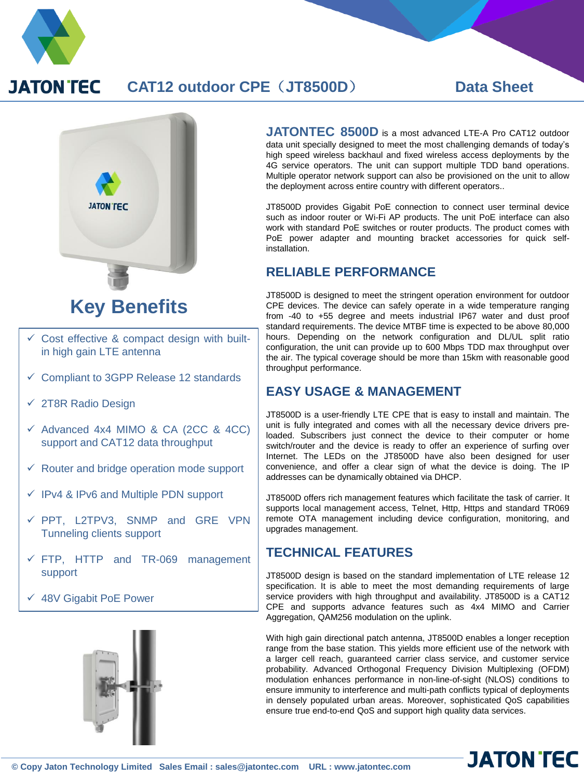

## **JATON TEC CAT12 outdoor CPE**(**JT8500D**) **Data Sheet**



# $\checkmark$  Cost effective & compact design with built-

- in high gain LTE antenna
- $\checkmark$  Compliant to 3GPP Release 12 standards
- $\times$  2T8R Radio Design
- $\checkmark$  Advanced 4x4 MIMO & CA (2CC & 4CC) support and CAT12 data throughput
- $\checkmark$  Router and bridge operation mode support
- $\checkmark$  IPv4 & IPv6 and Multiple PDN support
- $\checkmark$  PPT, L2TPV3, SNMP and GRE VPN Tunneling clients support
- $\times$  FTP, HTTP and TR-069 management support
- 48V Gigabit PoE Power



**JATONTEC 8500D** is <sup>a</sup> most advanced LTE-A Pro CAT12 outdoor data unit specially designed to meet the most challenging demands of today's high speed wireless backhaul and fixed wireless access deployments by the 4G service operators. The unit can support multiple TDD band operations. Multiple operator network support can also be provisioned on the unit to allow the deployment across entire country with different operators..

JT8500D provides Gigabit PoE connection to connect user terminal device such as indoor router or Wi-Fi AP products. The unit PoE interface can also work with standard PoE switches or router products. The product comes with PoE power adapter and mounting bracket accessories for quick selfinstallation.

## **RELIABLE PERFORMANCE**

JT8500D is designed to meet the stringent operation environment for outdoor CPE devices. The device can safely operate in a wide temperature ranging from -40 to +55 degree and meets industrial IP67 water and dust proof standard requirements. The device MTBF time is expected to be above 80,000 hours. Depending on the network configuration and DL/UL split ratio configuration, the unit can provide up to 600 Mbps TDD max throughput over the air. The typical coverage should be more than 15km with reasonable good throughput performance.

## **EASY USAGE & MANAGEMENT**

JT8500D is a user-friendly LTE CPE that is easy to install and maintain. The unit is fully integrated and comes with all the necessary device drivers preloaded. Subscribers just connect the device to their computer or home switch/router and the device is ready to offer an experience of surfing over Internet. The LEDs on the JT8500D have also been designed for user convenience, and offer a clear sign of what the device is doing. The IP addresses can be dynamically obtained via DHCP.

JT8500D offers rich management features which facilitate the task of carrier. It supports local management access, Telnet, Http, Https and standard TR069 remote OTA management including device configuration, monitoring, and upgrades management.

## **TECHNICAL FEATURES**

JT8500D design is based on the standard implementation of LTE release 12 specification. It is able to meet the most demanding requirements of large service providers with high throughput and availability. JT8500D is a CAT12 CPE and supports advance features such as 4x4 MIMO and Carrier Aggregation, QAM256 modulation on the uplink.

With high gain directional patch antenna, JT8500D enables a longer reception range from the base station. This yields more efficient use of the network with a larger cell reach, guaranteed carrier class service, and customer service probability. Advanced Orthogonal Frequency Division Multiplexing (OFDM) modulation enhances performance in non-line-of-sight (NLOS) conditions to ensure immunity to interference and multi-path conflicts typical of deployments in densely populated urban areas. Moreover, sophisticated QoS capabilities ensure true end-to-end QoS and support high quality data services.

**JATON TEC**